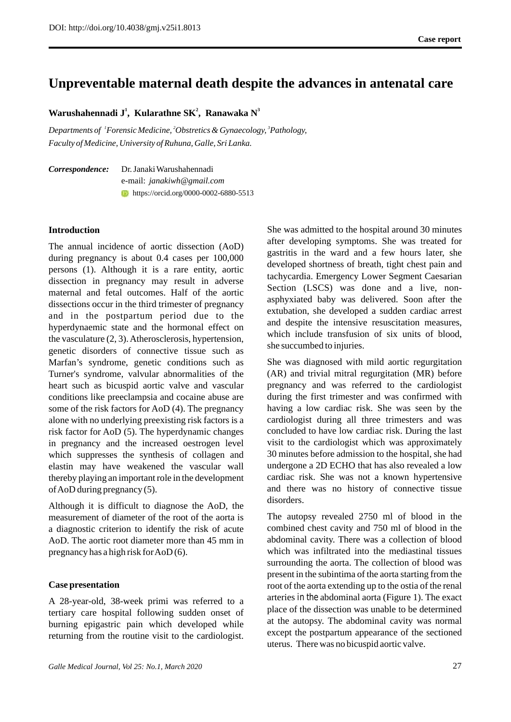# **Unpreventable maternal death despite the advances in antenatal care**

**W 1 2 3 arushahennadi J , Kularathne SK , Ranawaka N**

*Departments of*  ${}^{1}$ *Forensic Medicine,*  ${}^{2}$ *Obstretics & Gynaecology,*  ${}^{3}$ *Pathology, Faculty of Medicine, University of Ruhuna, Galle, Sri Lanka.* 

| Correspondence: | Dr. Janaki Warushahennadi                      |
|-----------------|------------------------------------------------|
|                 | e-mail: <i>janakiwh@gmail.com</i>              |
|                 | <b>t</b> https://orcid.org/0000-0002-6880-5513 |

# **Introduction**

The annual incidence of aortic dissection (AoD) during pregnancy is about 0.4 cases per 100,000 persons (1). Although it is a rare entity, aortic dissection in pregnancy may result in adverse maternal and fetal outcomes. Half of the aortic dissections occur in the third trimester of pregnancy and in the postpartum period due to the hyperdynaemic state and the hormonal effect on the vasculature (2, 3). Atherosclerosis, hypertension, genetic disorders of connective tissue such as Marfan's syndrome, genetic conditions such as Turner's syndrome, valvular abnormalities of the heart such as bicuspid aortic valve and vascular conditions like preeclampsia and cocaine abuse are some of the risk factors for AoD (4). The pregnancy alone with no underlying preexisting risk factors is a risk factor for AoD (5). The hyperdynamic changes in pregnancy and the increased oestrogen level which suppresses the synthesis of collagen and elastin may have weakened the vascular wall thereby playing an important role in the development of AoD during pregnancy (5).

Although it is difficult to diagnose the AoD, the measurement of diameter of the root of the aorta is a diagnostic criterion to identify the risk of acute AoD. The aortic root diameter more than 45 mm in pregnancy has a high risk for AoD (6).

### **Case presentation**

A 28-year-old, 38-week primi was referred to a tertiary care hospital following sudden onset of burning epigastric pain which developed while returning from the routine visit to the cardiologist. She was admitted to the hospital around 30 minutes after developing symptoms. She was treated for gastritis in the ward and a few hours later, she developed shortness of breath, tight chest pain and tachycardia. Emergency Lower Segment Caesarian Section (LSCS) was done and a live, nonasphyxiated baby was delivered. Soon after the extubation, she developed a sudden cardiac arrest and despite the intensive resuscitation measures, which include transfusion of six units of blood, she succumbed to injuries.

She was diagnosed with mild aortic regurgitation (AR) and trivial mitral regurgitation (MR) before pregnancy and was referred to the cardiologist during the first trimester and was confirmed with having a low cardiac risk. She was seen by the cardiologist during all three trimesters and was concluded to have low cardiac risk. During the last visit to the cardiologist which was approximately 30 minutes before admission to the hospital, she had undergone a 2D ECHO that has also revealed a low cardiac risk. She was not a known hypertensive and there was no history of connective tissue disorders.

The autopsy revealed 2750 ml of blood in the combined chest cavity and 750 ml of blood in the abdominal cavity. There was a collection of blood which was infiltrated into the mediastinal tissues surrounding the aorta. The collection of blood was present in the subintima of the aorta starting from the root of the aorta extending up to the ostia of the renal arteries in the abdominal aorta (Figure 1). The exact place of the dissection was unable to be determined at the autopsy. The abdominal cavity was normal except the postpartum appearance of the sectioned uterus. There was no bicuspid aortic valve.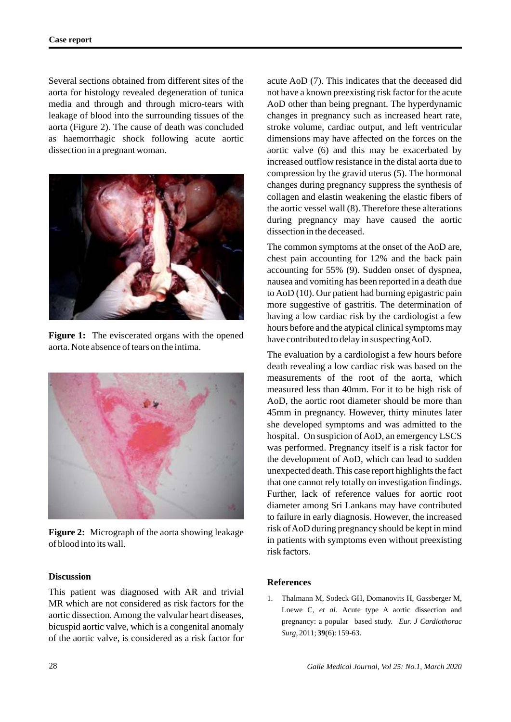Several sections obtained from different sites of the aorta for histology revealed degeneration of tunica media and through and through micro-tears with leakage of blood into the surrounding tissues of the aorta (Figure 2). The cause of death was concluded as haemorrhagic shock following acute aortic dissection in a pregnant woman.



**Figure 1:** The eviscerated organs with the opened aorta. Note absence of tears on the intima.



**Figure 2:** Micrograph of the aorta showing leakage of blood into its wall.

# **Discussion**

This patient was diagnosed with AR and trivial MR which are not considered as risk factors for the aortic dissection. Among the valvular heart diseases, bicuspid aortic valve, which is a congenital anomaly of the aortic valve, is considered as a risk factor for acute AoD (7). This indicates that the deceased did not have a known preexisting risk factor for the acute AoD other than being pregnant. The hyperdynamic changes in pregnancy such as increased heart rate, stroke volume, cardiac output, and left ventricular dimensions may have affected on the forces on the aortic valve (6) and this may be exacerbated by increased outflow resistance in the distal aorta due to compression by the gravid uterus (5). The hormonal changes during pregnancy suppress the synthesis of collagen and elastin weakening the elastic fibers of the aortic vessel wall (8). Therefore these alterations during pregnancy may have caused the aortic dissection in the deceased.

The common symptoms at the onset of the AoD are, chest pain accounting for 12% and the back pain accounting for 55% (9). Sudden onset of dyspnea, nausea and vomiting has been reported in a death due to AoD (10). Our patient had burning epigastric pain more suggestive of gastritis. The determination of having a low cardiac risk by the cardiologist a few hours before and the atypical clinical symptoms may have contributed to delay in suspecting AoD.

The evaluation by a cardiologist a few hours before death revealing a low cardiac risk was based on the measurements of the root of the aorta, which measured less than 40mm. For it to be high risk of AoD, the aortic root diameter should be more than 45mm in pregnancy. However, thirty minutes later she developed symptoms and was admitted to the hospital. On suspicion of AoD, an emergency LSCS was performed. Pregnancy itself is a risk factor for the development of AoD, which can lead to sudden unexpected death. This case report highlights the fact that one cannot rely totally on investigation findings. Further, lack of reference values for aortic root diameter among Sri Lankans may have contributed to failure in early diagnosis. However, the increased risk of AoD during pregnancy should be kept in mind in patients with symptoms even without preexisting risk factors.

### **References**

1. Thalmann M, Sodeck GH, Domanovits H, Gassberger M, Loewe C, *et al.* Acute type A aortic dissection and pregnancy: a popular based study. *Eur. J Cardiothorac Surg,* 2011; **39**(6): 159-63.